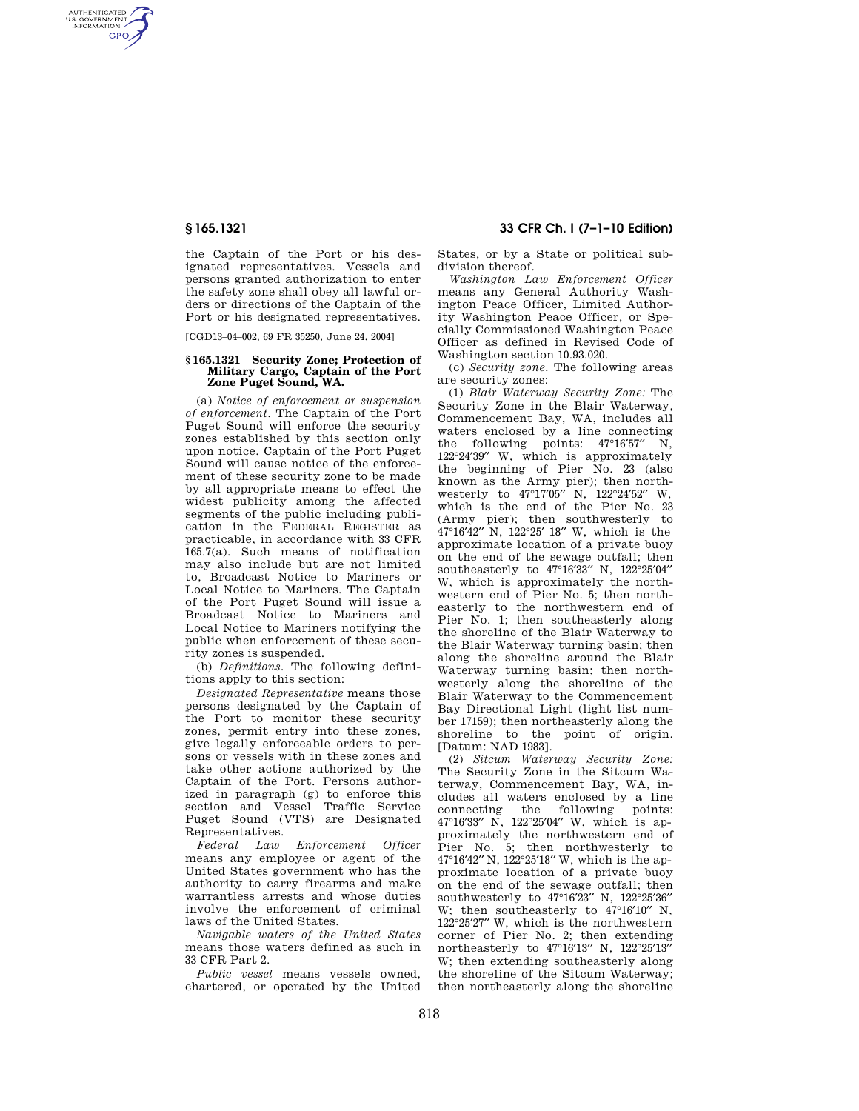AUTHENTICATED<br>U.S. GOVERNMENT<br>INFORMATION **GPO** 

> the Captain of the Port or his designated representatives. Vessels and persons granted authorization to enter the safety zone shall obey all lawful orders or directions of the Captain of the Port or his designated representatives.

[CGD13–04–002, 69 FR 35250, June 24, 2004]

## **§ 165.1321 Security Zone; Protection of Military Cargo, Captain of the Port Zone Puget Sound, WA.**

(a) *Notice of enforcement or suspension of enforcement.* The Captain of the Port Puget Sound will enforce the security zones established by this section only upon notice. Captain of the Port Puget Sound will cause notice of the enforcement of these security zone to be made by all appropriate means to effect the widest publicity among the affected segments of the public including publication in the FEDERAL REGISTER as practicable, in accordance with 33 CFR 165.7(a). Such means of notification may also include but are not limited to, Broadcast Notice to Mariners or Local Notice to Mariners. The Captain of the Port Puget Sound will issue a Broadcast Notice to Mariners and Local Notice to Mariners notifying the public when enforcement of these security zones is suspended.

(b) *Definitions.* The following definitions apply to this section:

*Designated Representative* means those persons designated by the Captain of the Port to monitor these security zones, permit entry into these zones, give legally enforceable orders to persons or vessels with in these zones and take other actions authorized by the Captain of the Port. Persons authorized in paragraph (g) to enforce this section and Vessel Traffic Service Puget Sound (VTS) are Designated Representatives.

*Federal Law Enforcement Officer*  means any employee or agent of the United States government who has the authority to carry firearms and make warrantless arrests and whose duties involve the enforcement of criminal laws of the United States.

*Navigable waters of the United States*  means those waters defined as such in 33 CFR Part 2.

*Public vessel* means vessels owned, chartered, or operated by the United

# **§ 165.1321 33 CFR Ch. I (7–1–10 Edition)**

States, or by a State or political subdivision thereof.

*Washington Law Enforcement Officer*  means any General Authority Washington Peace Officer, Limited Authority Washington Peace Officer, or Specially Commissioned Washington Peace Officer as defined in Revised Code of Washington section 10.93.020.

(c) *Security zone.* The following areas are security zones:

(1) *Blair Waterway Security Zone:* The Security Zone in the Blair Waterway, Commencement Bay, WA, includes all waters enclosed by a line connecting the following points: 47°16′57′′ N, 122°24′39′′ W, which is approximately the beginning of Pier No. 23 (also known as the Army pier); then northwesterly to 47°17′05′′ N, 122°24′52′′ W, which is the end of the Pier No. 23 (Army pier); then southwesterly to 47°16′42′′ N, 122°25′ 18′′ W, which is the approximate location of a private buoy on the end of the sewage outfall; then southeasterly to 47°16′33′′ N, 122°25′04′′ W, which is approximately the northwestern end of Pier No. 5; then northeasterly to the northwestern end of Pier No. 1; then southeasterly along the shoreline of the Blair Waterway to the Blair Waterway turning basin; then along the shoreline around the Blair Waterway turning basin; then northwesterly along the shoreline of the Blair Waterway to the Commencement Bay Directional Light (light list number 17159); then northeasterly along the shoreline to the point of origin. [Datum: NAD 1983].

(2) *Sitcum Waterway Security Zone:*  The Security Zone in the Sitcum Waterway, Commencement Bay, WA, includes all waters enclosed by a line connecting the following points: following points: 47°16′33′′ N, 122°25′04′′ W, which is approximately the northwestern end of Pier No. 5; then northwesterly to 47°16′42′′ N, 122°25′18′′ W, which is the approximate location of a private buoy on the end of the sewage outfall; then southwesterly to 47°16′23′′ N, 122°25′36′′ W; then southeasterly to  $47^{\circ}16'10''$  N, 122°25′27′′ W, which is the northwestern corner of Pier No. 2; then extending northeasterly to  $47^{\circ}16'13''$  N,  $122^{\circ}25'13'$ W; then extending southeasterly along the shoreline of the Sitcum Waterway; then northeasterly along the shoreline